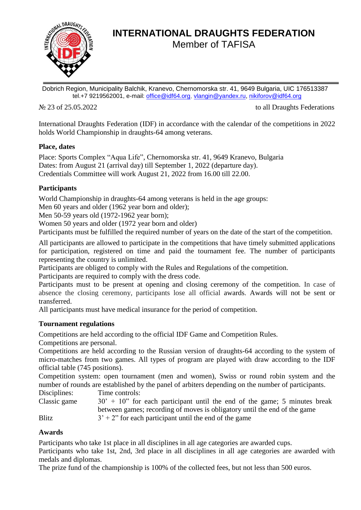

# **INTERNATIONAL DRAUGHTS FEDERATION** Member of TAFISA

Dobrich Region, Municipality Balchik, Kranevo, Chernomorska str. 41, 9649 Bulgaria, UIC 176513387 tel.+7 9219562001, e-mail: [office@idf64.org,](mailto:office@idf64.org) [vlangin@yandex.ru,](mailto:vlangin@yandex.ru) [nikiforov@idf64.org](mailto:nikiforov@idf64.org)

No 23 of 25.05.2022 to all Draughts Federations

International Draughts Federation (IDF) in accordance with the calendar of the competitions in 2022 holds World Championship in draughts-64 among veterans.

### **Place, dates**

Place: Sports Complex "Aqua Life", Chernomorska str. 41, 9649 Kranevo, Bulgaria Dates: from August 21 (arrival day) till September 1, 2022 (departure day). Credentials Committee will work August 21, 2022 from 16.00 till 22.00.

# **Participants**

World Championship in draughts-64 among veterans is held in the age groups:

Men 60 years and older (1962 year born and older);

Men 50-59 years old (1972-1962 year born);

Women 50 years and older (1972 year born and older)

Participants must be fulfilled the required number of years on the date of the start of the competition.

All participants are allowed to participate in the competitions that have timely submitted applications for participation, registered on time and paid the tournament fee. The number of participants representing the country is unlimited.

Participants are obliged to comply with the Rules and Regulations of the competition.

Participants are required to comply with the dress code.

Participants must to be present at opening and closing ceremony of the competition. In case of absence the closing ceremony, participants lose all official awards. Awards will not be sent or transferred.

All participants must have medical insurance for the period of competition.

# **Tournament regulations**

Competitions are held according to the official IDF Game and Competition Rules.

Competitions are personal.

Competitions are held according to the Russian version of draughts-64 according to the system of micro-matches from two games. All types of program are played with draw according to the IDF official table (745 positions).

Competition system: open tournament (men and women), Swiss or round robin system and the number of rounds are established by the panel of arbiters depending on the number of participants.

Disciplines: Time controls:

Classic game  $30' + 10''$  for each participant until the end of the game; 5 minutes break between games; recording of moves is obligatory until the end of the game

Blitz  $3' + 2''$  for each participant until the end of the game

# **Awards**

Participants who take 1st place in all disciplines in all age categories are awarded cups.

Participants who take 1st, 2nd, 3rd place in all disciplines in all age categories are awarded with medals and diplomas.

The prize fund of the championship is 100% of the collected fees, but not less than 500 euros.